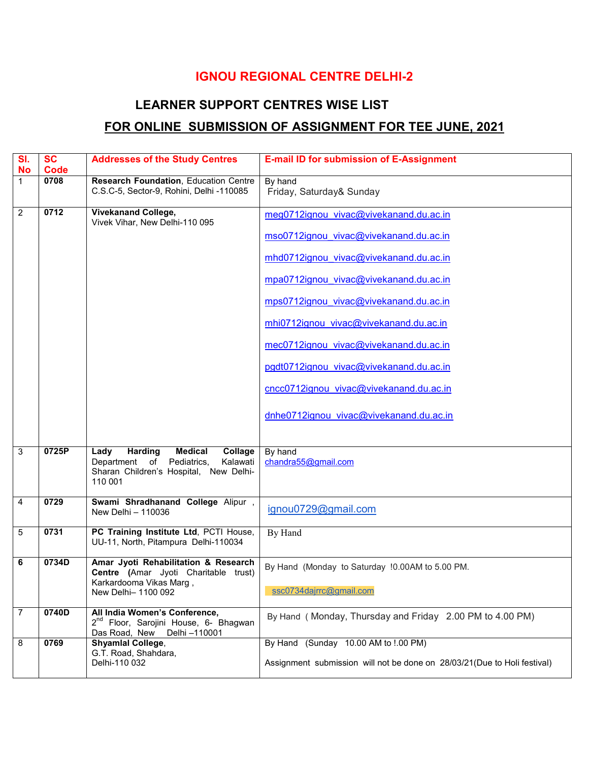## IGNOU REGIONAL CENTRE DELHI-2

## LEARNER SUPPORT CENTRES WISE LIST

## FOR ONLINE SUBMISSION OF ASSIGNMENT FOR TEE JUNE, 2021

| SI.<br>No   | <b>SC</b><br><b>Code</b> | <b>Addresses of the Study Centres</b>                                                                                                             | <b>E-mail ID for submission of E-Assignment</b>                          |
|-------------|--------------------------|---------------------------------------------------------------------------------------------------------------------------------------------------|--------------------------------------------------------------------------|
| $\mathbf 1$ | 0708                     | Research Foundation, Education Centre<br>C.S.C-5, Sector-9, Rohini, Delhi -110085                                                                 | By hand<br>Friday, Saturday& Sunday                                      |
| 2           | 0712                     | <b>Vivekanand College,</b><br>Vivek Vihar, New Delhi-110 095                                                                                      | meg0712ignou vivac@vivekanand.du.ac.in                                   |
|             |                          |                                                                                                                                                   | mso0712ignou vivac@vivekanand.du.ac.in                                   |
|             |                          |                                                                                                                                                   | mhd0712ignou vivac@vivekanand.du.ac.in                                   |
|             |                          |                                                                                                                                                   | mpa0712ignou vivac@vivekanand.du.ac.in                                   |
|             |                          |                                                                                                                                                   | mps0712ignou vivac@vivekanand.du.ac.in                                   |
|             |                          |                                                                                                                                                   | mhi0712ignou vivac@vivekanand.du.ac.in                                   |
|             |                          |                                                                                                                                                   | mec0712ignou vivac@vivekanand.du.ac.in                                   |
|             |                          |                                                                                                                                                   | pgdt0712ignou vivac@vivekanand.du.ac.in                                  |
|             |                          |                                                                                                                                                   | cncc0712ignou vivac@vivekanand.du.ac.in                                  |
|             |                          |                                                                                                                                                   | dnhe0712ignou vivac@vivekanand.du.ac.in                                  |
| 3           | 0725P                    | Lady<br><b>Harding</b><br><b>Medical</b><br>Collage<br>Department of Pediatrics,<br>Kalawati<br>Sharan Children's Hospital, New Delhi-<br>110 001 | By hand<br>chandra55@gmail.com                                           |
| 4           | 0729                     | Swami Shradhanand College Alipur,<br>New Delhi - 110036                                                                                           | ignou0729@gmail.com                                                      |
| 5           | 0731                     | PC Training Institute Ltd, PCTI House,<br>UU-11, North, Pitampura Delhi-110034                                                                    | By Hand                                                                  |
| 6           | 0734D                    | Amar Jyoti Rehabilitation & Research<br>Centre (Amar Jyoti Charitable trust)                                                                      | By Hand (Monday to Saturday !0.00AM to 5.00 PM.                          |
|             |                          | Karkardooma Vikas Marg,<br>New Delhi- 1100 092                                                                                                    | ssc0734dajrrc@gmail.com                                                  |
| 7           | 0740D                    | All India Women's Conference,<br>2 <sup>nd</sup> Floor, Sarojini House, 6- Bhagwan<br>Delhi -110001<br>Das Road, New                              | By Hand (Monday, Thursday and Friday 2.00 PM to 4.00 PM)                 |
| 8           | 0769                     | Shyamlal College,<br>G.T. Road, Shahdara,                                                                                                         | By Hand (Sunday 10.00 AM to !.00 PM)                                     |
|             |                          | Delhi-110 032                                                                                                                                     | Assignment submission will not be done on 28/03/21(Due to Holi festival) |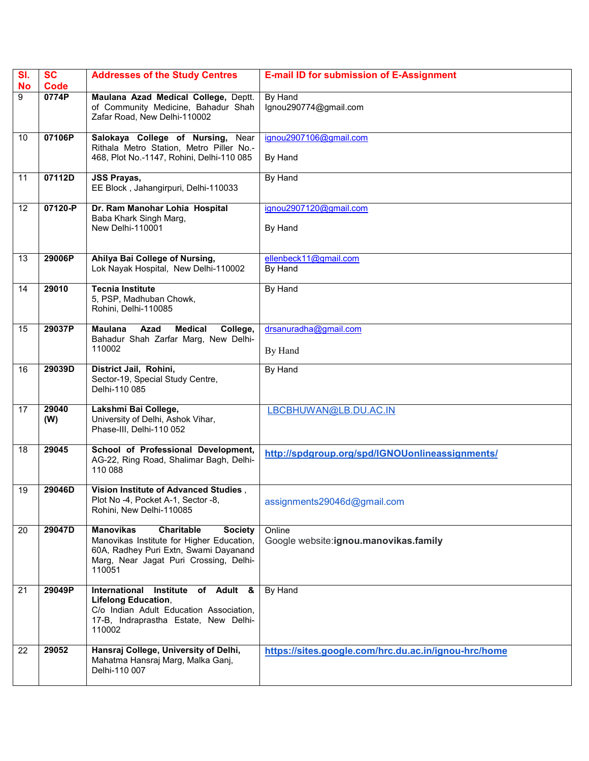| SI.<br><b>No</b> | <b>SC</b><br>Code | <b>Addresses of the Study Centres</b>                                                                                                                                                      | <b>E-mail ID for submission of E-Assignment</b>      |
|------------------|-------------------|--------------------------------------------------------------------------------------------------------------------------------------------------------------------------------------------|------------------------------------------------------|
| 9                | 0774P             | Maulana Azad Medical College, Deptt.<br>of Community Medicine, Bahadur Shah<br>Zafar Road, New Delhi-110002                                                                                | By Hand<br>lgnou290774@gmail.com                     |
| 10               | 07106P            | Salokaya College of Nursing, Near<br>Rithala Metro Station, Metro Piller No.-<br>468, Plot No.-1147, Rohini, Delhi-110 085                                                                 | ignou2907106@gmail.com<br>By Hand                    |
| 11               | 07112D            | <b>JSS Prayas,</b><br>EE Block, Jahangirpuri, Delhi-110033                                                                                                                                 | By Hand                                              |
| 12               | 07120-P           | Dr. Ram Manohar Lohia Hospital<br>Baba Khark Singh Marg,<br>New Delhi-110001                                                                                                               | ignou2907120@gmail.com<br>By Hand                    |
| 13               | 29006P            | Ahilya Bai College of Nursing,<br>Lok Nayak Hospital, New Delhi-110002                                                                                                                     | ellenbeck11@gmail.com<br>By Hand                     |
| 14               | 29010             | <b>Tecnia Institute</b><br>5, PSP, Madhuban Chowk,<br>Rohini, Delhi-110085                                                                                                                 | By Hand                                              |
| 15               | 29037P            | <b>Maulana</b><br><b>Medical</b><br>College,<br>Azad<br>Bahadur Shah Zarfar Marg, New Delhi-<br>110002                                                                                     | drsanuradha@gmail.com<br>By Hand                     |
| 16               | 29039D            | District Jail, Rohini,<br>Sector-19, Special Study Centre,<br>Delhi-110 085                                                                                                                | By Hand                                              |
| 17               | 29040<br>(W)      | Lakshmi Bai College,<br>University of Delhi, Ashok Vihar,<br>Phase-III, Delhi-110 052                                                                                                      | LBCBHUWAN@LB.DU.AC.IN                                |
| 18               | 29045             | School of Professional Development,<br>AG-22, Ring Road, Shalimar Bagh, Delhi-<br>110 088                                                                                                  | http://spdgroup.org/spd/IGNOUonlineassignments/      |
| 19               | 29046D            | Vision Institute of Advanced Studies.<br>Plot No -4, Pocket A-1, Sector -8,<br>Rohini, New Delhi-110085                                                                                    | assignments29046d@gmail.com                          |
| 20               | 29047D            | <b>Manovikas</b><br>Charitable<br><b>Society</b><br>Manovikas Institute for Higher Education,<br>60A, Radhey Puri Extn, Swami Dayanand<br>Marg, Near Jagat Puri Crossing, Delhi-<br>110051 | Online<br>Google website:ignou.manovikas.family      |
| 21               | 29049P            | International<br>Institute of Adult &<br><b>Lifelong Education,</b><br>C/o Indian Adult Education Association,<br>17-B, Indraprastha Estate, New Delhi-<br>110002                          | By Hand                                              |
| 22               | 29052             | Hansraj College, University of Delhi,<br>Mahatma Hansraj Marg, Malka Ganj,<br>Delhi-110 007                                                                                                | https://sites.google.com/hrc.du.ac.in/ignou-hrc/home |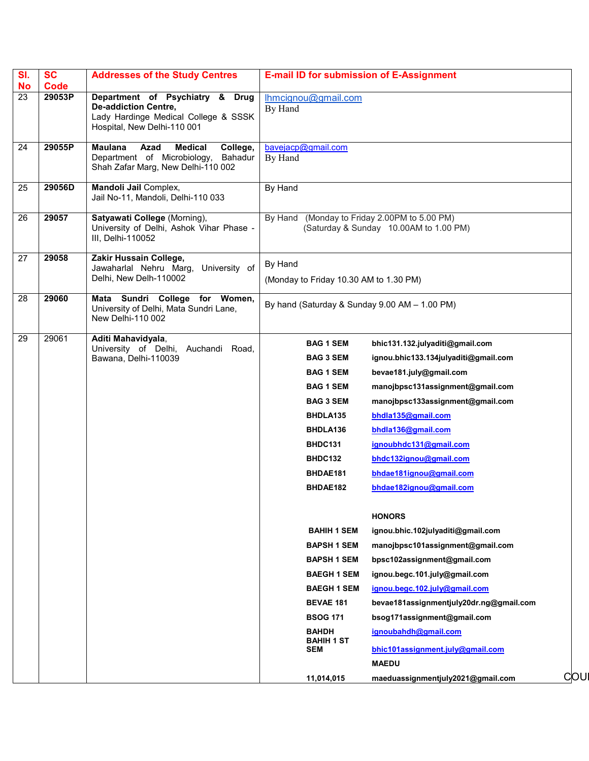| SI.<br><b>No</b> | <b>SC</b><br>Code | <b>Addresses of the Study Centres</b>                                                                                                 | <b>E-mail ID for submission of E-Assignment</b>                                                                                                                                                                                                                                                                                                                         |                                                                                                                                                                                                                                                                                                                                                                                                                                                                                                                                                                                                                                                                                   |     |
|------------------|-------------------|---------------------------------------------------------------------------------------------------------------------------------------|-------------------------------------------------------------------------------------------------------------------------------------------------------------------------------------------------------------------------------------------------------------------------------------------------------------------------------------------------------------------------|-----------------------------------------------------------------------------------------------------------------------------------------------------------------------------------------------------------------------------------------------------------------------------------------------------------------------------------------------------------------------------------------------------------------------------------------------------------------------------------------------------------------------------------------------------------------------------------------------------------------------------------------------------------------------------------|-----|
| 23               | 29053P            | Department of Psychiatry & Drug<br><b>De-addiction Centre,</b><br>Lady Hardinge Medical College & SSSK<br>Hospital, New Delhi-110 001 | Ihmcignou@gmail.com<br>By Hand                                                                                                                                                                                                                                                                                                                                          |                                                                                                                                                                                                                                                                                                                                                                                                                                                                                                                                                                                                                                                                                   |     |
| 24               | 29055P            | Azad<br><b>Medical</b><br>College,<br><b>Maulana</b><br>Department of Microbiology,<br>Bahadur<br>Shah Zafar Marg, New Delhi-110 002  | bavejacp@gmail.com<br>By Hand                                                                                                                                                                                                                                                                                                                                           |                                                                                                                                                                                                                                                                                                                                                                                                                                                                                                                                                                                                                                                                                   |     |
| 25               | 29056D            | Mandoli Jail Complex,<br>Jail No-11, Mandoli, Delhi-110 033                                                                           | By Hand                                                                                                                                                                                                                                                                                                                                                                 |                                                                                                                                                                                                                                                                                                                                                                                                                                                                                                                                                                                                                                                                                   |     |
| 26               | 29057             | Satyawati College (Morning),<br>University of Delhi, Ashok Vihar Phase -<br>III, Delhi-110052                                         | By Hand                                                                                                                                                                                                                                                                                                                                                                 | (Monday to Friday 2.00PM to 5.00 PM)<br>(Saturday & Sunday 10.00AM to 1.00 PM)                                                                                                                                                                                                                                                                                                                                                                                                                                                                                                                                                                                                    |     |
| 27               | 29058             | Zakir Hussain College,<br>Jawaharlal Nehru Marg, University of<br>Delhi, New Delh-110002                                              | By Hand<br>(Monday to Friday 10.30 AM to 1.30 PM)                                                                                                                                                                                                                                                                                                                       |                                                                                                                                                                                                                                                                                                                                                                                                                                                                                                                                                                                                                                                                                   |     |
| 28               | 29060             | Mata Sundri College for Women,<br>University of Delhi, Mata Sundri Lane,<br>New Delhi-110 002                                         | By hand (Saturday & Sunday 9.00 AM - 1.00 PM)                                                                                                                                                                                                                                                                                                                           |                                                                                                                                                                                                                                                                                                                                                                                                                                                                                                                                                                                                                                                                                   |     |
| 29               | 29061             | Aditi Mahavidyala,<br>University of Delhi, Auchandi Road,<br>Bawana, Delhi-110039                                                     | <b>BAG 1 SEM</b><br><b>BAG 3 SEM</b><br><b>BAG 1 SEM</b><br><b>BAG 1 SEM</b><br><b>BAG 3 SEM</b><br>BHDLA135<br>BHDLA136<br>BHDC131<br>BHDC132<br>BHDAE181<br>BHDAE182<br><b>BAHIH 1 SEM</b><br><b>BAPSH 1 SEM</b><br><b>BAPSH 1 SEM</b><br><b>BAEGH 1 SEM</b><br><b>BAEGH 1 SEM</b><br><b>BEVAE 181</b><br><b>BSOG 171</b><br><b>BAHDH</b><br><b>BAHIH 1 ST</b><br>SEM | bhic131.132.julyaditi@gmail.com<br>ignou.bhic133.134julyaditi@gmail.com<br>bevae181.july@gmail.com<br>manojbpsc131assignment@gmail.com<br>manojbpsc133assignment@gmail.com<br>bhdla135@gmail.com<br>bhdla136@gmail.com<br>ignoubhdc131@gmail.com<br>bhdc132ignou@gmail.com<br>bhdae181ignou@gmail.com<br>bhdae182ignou@gmail.com<br><b>HONORS</b><br>ignou.bhic.102julyaditi@gmail.com<br>manoibpsc101assignment@gmail.com<br>bpsc102assignment@gmail.com<br>ignou.begc.101.july@gmail.com<br>ignou.begc.102.july@gmail.com<br>bevae181assignmentjuly20dr.ng@gmail.com<br>bsog171assignment@gmail.com<br>ignoubahdh@gmail.com<br>bhic101assignment.july@gmail.com<br><b>MAEDU</b> |     |
|                  |                   |                                                                                                                                       | 11,014,015                                                                                                                                                                                                                                                                                                                                                              | maeduassignmentjuly2021@gmail.com                                                                                                                                                                                                                                                                                                                                                                                                                                                                                                                                                                                                                                                 | COU |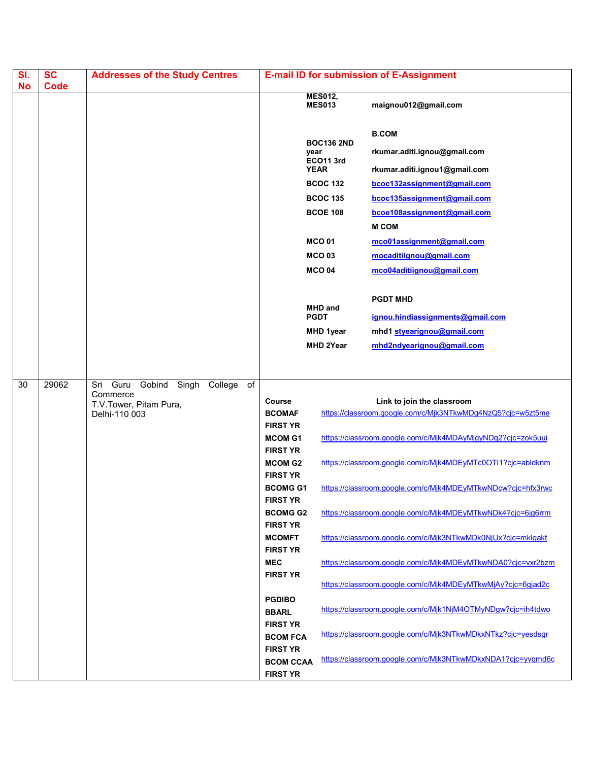| SI.<br><b>No</b> | <b>SC</b><br><b>Code</b> | <b>Addresses of the Study Centres</b>                                                               |                                                                                                                                                                                                                                                                                                                                                                                                        |                                                                                                                                                                                                                                   | <b>E-mail ID for submission of E-Assignment</b>                                                                                                                                                                                                                                                                                                                                                                                                                                                                                                                                                                                                                                                                                                 |
|------------------|--------------------------|-----------------------------------------------------------------------------------------------------|--------------------------------------------------------------------------------------------------------------------------------------------------------------------------------------------------------------------------------------------------------------------------------------------------------------------------------------------------------------------------------------------------------|-----------------------------------------------------------------------------------------------------------------------------------------------------------------------------------------------------------------------------------|-------------------------------------------------------------------------------------------------------------------------------------------------------------------------------------------------------------------------------------------------------------------------------------------------------------------------------------------------------------------------------------------------------------------------------------------------------------------------------------------------------------------------------------------------------------------------------------------------------------------------------------------------------------------------------------------------------------------------------------------------|
|                  |                          |                                                                                                     |                                                                                                                                                                                                                                                                                                                                                                                                        | <b>MES012,</b><br><b>MES013</b>                                                                                                                                                                                                   | maignou012@gmail.com                                                                                                                                                                                                                                                                                                                                                                                                                                                                                                                                                                                                                                                                                                                            |
|                  |                          |                                                                                                     |                                                                                                                                                                                                                                                                                                                                                                                                        | <b>BOC136 2ND</b><br>year<br>ECO11 3rd<br><b>YEAR</b><br><b>BCOC 132</b><br><b>BCOC 135</b><br><b>BCOE 108</b><br><b>MCO01</b><br><b>MCO03</b><br><b>MCO 04</b><br><b>MHD and</b><br><b>PGDT</b><br>MHD 1year<br><b>MHD 2Year</b> | <b>B.COM</b><br>rkumar.aditi.ignou@gmail.com<br>rkumar.aditi.ignou1@gmail.com<br>bcoc132assignment@gmail.com<br>bcoc135assignment@gmail.com<br>bcoe108assignment@gmail.com<br><b>M COM</b><br>mco01assignment@gmail.com<br>mocaditiignou@gmail.com<br>mco04aditiignou@gmail.com<br><b>PGDT MHD</b><br>ignou.hindiassignments@gmail.com<br>mhd1 styearignou@gmail.com<br>mhd2ndyearignou@gmail.com                                                                                                                                                                                                                                                                                                                                               |
|                  |                          |                                                                                                     |                                                                                                                                                                                                                                                                                                                                                                                                        |                                                                                                                                                                                                                                   |                                                                                                                                                                                                                                                                                                                                                                                                                                                                                                                                                                                                                                                                                                                                                 |
| 30               | 29062                    | Gobind Singh<br>Guru<br>College<br>of<br>Sri<br>Commerce<br>T.V.Tower, Pitam Pura,<br>Delhi-110 003 | Course<br><b>BCOMAF</b><br><b>FIRST YR</b><br><b>MCOM G1</b><br><b>FIRST YR</b><br><b>MCOM G2</b><br><b>FIRST YR</b><br><b>BCOMG G1</b><br><b>FIRST YR</b><br><b>BCOMG G2</b><br><b>FIRST YR</b><br><b>MCOMFT</b><br><b>FIRST YR</b><br><b>MEC</b><br><b>FIRST YR</b><br><b>PGDIBO</b><br><b>BBARL</b><br><b>FIRST YR</b><br><b>BCOM FCA</b><br><b>FIRST YR</b><br><b>BCOM CCAA</b><br><b>FIRST YR</b> |                                                                                                                                                                                                                                   | Link to join the classroom<br>https://classroom.google.com/c/Mjk3NTkwMDg4NzQ5?cjc=w5zt5me<br>https://classroom.google.com/c/Mjk4MDAyMjgyNDg2?cjc=zok5uui<br>https://classroom.google.com/c/Mjk4MDEyMTc0OTI1?cjc=abldknm<br>https://classroom.google.com/c/Mjk4MDEyMTkwNDcw?cjc=hfx3rwc<br>https://classroom.google.com/c/Mjk4MDEyMTkwNDk4?cjc=6jg6rrm<br>https://classroom.google.com/c/Mjk3NTkwMDk0NjUx?cjc=mklgakt<br>https://classroom.google.com/c/Mjk4MDEyMTkwNDA0?cjc=vxr2bzm<br>https://classroom.google.com/c/Mjk4MDEyMTkwMjAy?cjc=6gjad2c<br>https://classroom.google.com/c/Mjk1NjM4OTMyNDgw?cjc=ih4tdwo<br>https://classroom.google.com/c/Mjk3NTkwMDkxNTkz?cjc=yesdsgr<br>https://classroom.google.com/c/Mjk3NTkwMDkxNDA1?cjc=yvqmd6c |